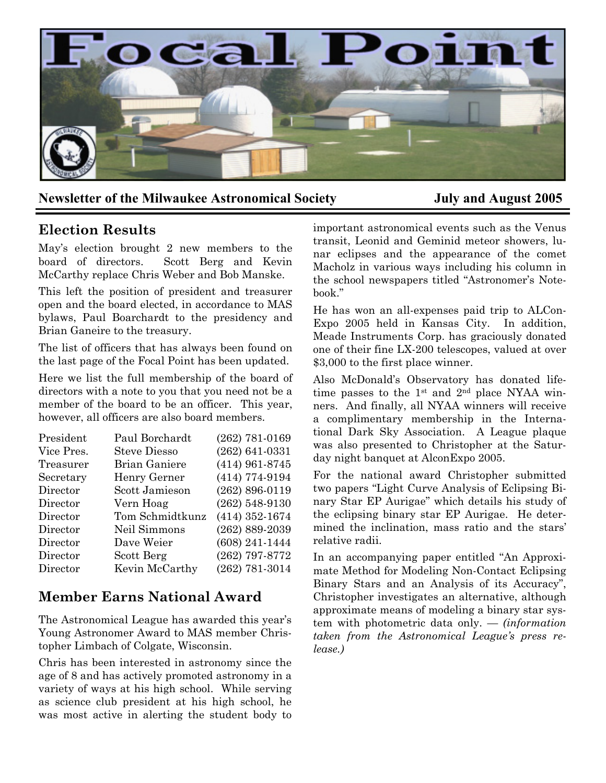

### **Newsletter of the Milwaukee Astronomical Society July and August 2005**

### **Election Results**

May's election brought 2 new members to the board of directors. Scott Berg and Kevin McCarthy replace Chris Weber and Bob Manske.

This left the position of president and treasurer open and the board elected, in accordance to MAS bylaws, Paul Boarchardt to the presidency and Brian Ganeire to the treasury.

The list of officers that has always been found on the last page of the Focal Point has been updated.

Here we list the full membership of the board of directors with a note to you that you need not be a member of the board to be an officer. This year, however, all officers are also board members.

| Paul Borchardt      | $(262) 781 - 0169$ |
|---------------------|--------------------|
| <b>Steve Diesso</b> | $(262) 641 - 0331$ |
| Brian Ganiere       | $(414)$ 961-8745   |
| Henry Gerner        | (414) 774-9194     |
| Scott Jamieson      | $(262) 896 - 0119$ |
| Vern Hoag           | $(262)$ 548-9130   |
| Tom Schmidtkunz     | $(414)$ 352-1674   |
| Neil Simmons        | $(262) 889 - 2039$ |
| Dave Weier          | (608) 241-1444     |
| Scott Berg          | (262) 797-8772     |
| Kevin McCarthy      | $(262) 781 - 3014$ |
|                     |                    |

### **Member Earns National Award**

The Astronomical League has awarded this year's Young Astronomer Award to MAS member Christopher Limbach of Colgate, Wisconsin.

Chris has been interested in astronomy since the age of 8 and has actively promoted astronomy in a variety of ways at his high school. While serving as science club president at his high school, he was most active in alerting the student body to important astronomical events such as the Venus transit, Leonid and Geminid meteor showers, lunar eclipses and the appearance of the comet Macholz in various ways including his column in the school newspapers titled "Astronomer's Notebook."

He has won an all-expenses paid trip to ALCon-Expo 2005 held in Kansas City. In addition, Meade Instruments Corp. has graciously donated one of their fine LX-200 telescopes, valued at over \$3,000 to the first place winner.

Also McDonald's Observatory has donated lifetime passes to the 1st and 2nd place NYAA winners. And finally, all NYAA winners will receive a complimentary membership in the International Dark Sky Association. A League plaque was also presented to Christopher at the Saturday night banquet at AlconExpo 2005.

For the national award Christopher submitted two papers "Light Curve Analysis of Eclipsing Binary Star EP Aurigae" which details his study of the eclipsing binary star EP Aurigae. He determined the inclination, mass ratio and the stars' relative radii.

In an accompanying paper entitled "An Approximate Method for Modeling Non-Contact Eclipsing Binary Stars and an Analysis of its Accuracy", Christopher investigates an alternative, although approximate means of modeling a binary star system with photometric data only. — *(information taken from the Astronomical League's press release.)*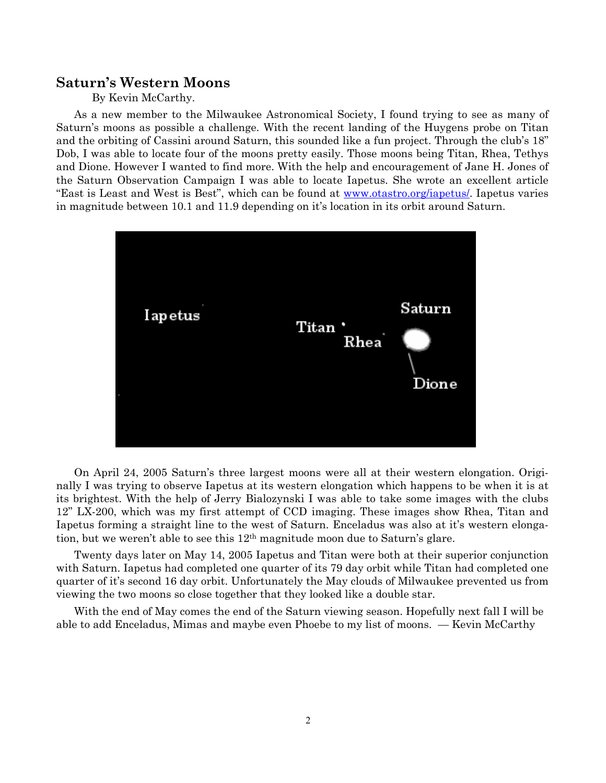#### **Saturn's Western Moons**

#### By Kevin McCarthy.

As a new member to the Milwaukee Astronomical Society, I found trying to see as many of Saturn's moons as possible a challenge. With the recent landing of the Huygens probe on Titan and the orbiting of Cassini around Saturn, this sounded like a fun project. Through the club's 18" Dob, I was able to locate four of the moons pretty easily. Those moons being Titan, Rhea, Tethys and Dione. However I wanted to find more. With the help and encouragement of Jane H. Jones of the Saturn Observation Campaign I was able to locate Iapetus. She wrote an excellent article "East is Least and West is Best", which can be found at <u>www.otastro.org/iapetus/</u>. Iapetus varies in magnitude between 10.1 and 11.9 depending on it's location in its orbit around Saturn.



On April 24, 2005 Saturn's three largest moons were all at their western elongation. Originally I was trying to observe Iapetus at its western elongation which happens to be when it is at its brightest. With the help of Jerry Bialozynski I was able to take some images with the clubs 12" LX-200, which was my first attempt of CCD imaging. These images show Rhea, Titan and Iapetus forming a straight line to the west of Saturn. Enceladus was also at it's western elongation, but we weren't able to see this 12th magnitude moon due to Saturn's glare.

Twenty days later on May 14, 2005 Iapetus and Titan were both at their superior conjunction with Saturn. Iapetus had completed one quarter of its 79 day orbit while Titan had completed one quarter of it's second 16 day orbit. Unfortunately the May clouds of Milwaukee prevented us from viewing the two moons so close together that they looked like a double star.

With the end of May comes the end of the Saturn viewing season. Hopefully next fall I will be able to add Enceladus, Mimas and maybe even Phoebe to my list of moons. — Kevin McCarthy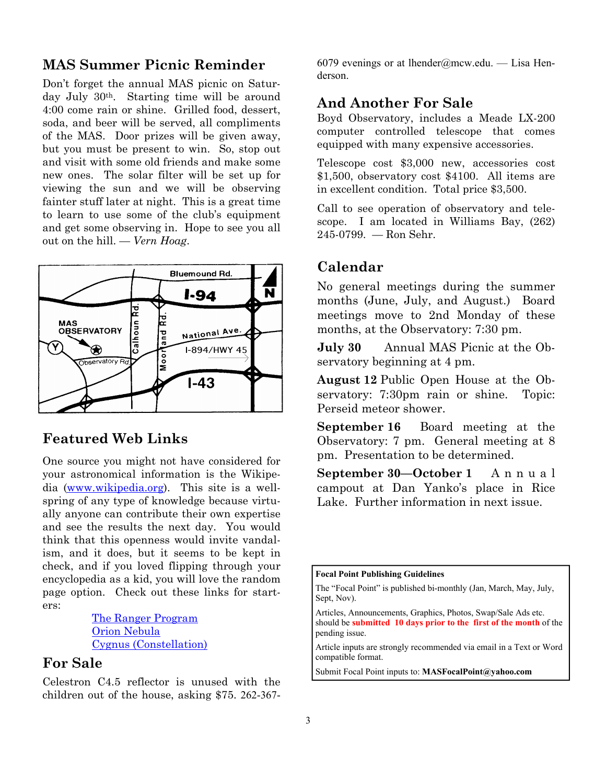### **MAS Summer Picnic Reminder**

Don't forget the annual MAS picnic on Saturday July 30<sup>th</sup>. Starting time will be around 4:00 come rain or shine. Grilled food, dessert, soda, and beer will be served, all compliments of the MAS. Door prizes will be given away, but you must be present to win. So, stop out and visit with some old friends and make some new ones. The solar filter will be set up for viewing the sun and we will be observing fainter stuff later at night. This is a great time to learn to use some of the club's equipment and get some observing in. Hope to see you all out on the hill. — *Vern Hoag*.



### **Featured Web Links**

One source you might not have considered for your astronomical information is the Wikipedia (www.wikipedia.org). This site is a wellspring of any type of knowledge because virtually anyone can contribute their own expertise and see the results the next day. You would think that this openness would invite vandalism, and it does, but it seems to be kept in check, and if you loved flipping through your encyclopedia as a kid, you will love the random page option. Check out these links for starters:

> The Ranger Program Orion Nebula Cygnus (Constellation)

### **For Sale**

Celestron C4.5 reflector is unused with the children out of the house, asking \$75. 262-3676079 evenings or at lhender@mcw.edu. — Lisa Henderson.

### **And Another For Sale**

Boyd Observatory, includes a Meade LX-200 computer controlled telescope that comes equipped with many expensive accessories.

Telescope cost \$3,000 new, accessories cost \$1,500, observatory cost \$4100. All items are in excellent condition. Total price \$3,500.

Call to see operation of observatory and telescope. I am located in Williams Bay, (262) 245-0799. — Ron Sehr.

### **Calendar**

No general meetings during the summer months (June, July, and August.) Board meetings move to 2nd Monday of these months, at the Observatory: 7:30 pm.

**July 30** Annual MAS Picnic at the Observatory beginning at 4 pm.

**August 12** Public Open House at the Observatory: 7:30pm rain or shine. Topic: Perseid meteor shower.

**September 16** Board meeting at the Observatory: 7 pm. General meeting at 8 pm. Presentation to be determined.

**September 30—October 1** A n n u a l campout at Dan Yanko's place in Rice Lake. Further information in next issue.

**Focal Point Publishing Guidelines** 

Submit Focal Point inputs to: **MASFocalPoint@yahoo.com**

The "Focal Point" is published bi-monthly (Jan, March, May, July, Sept, Nov).

Articles, Announcements, Graphics, Photos, Swap/Sale Ads etc. should be **submitted 10 days prior to the first of the month** of the pending issue.

Article inputs are strongly recommended via email in a Text or Word compatible format.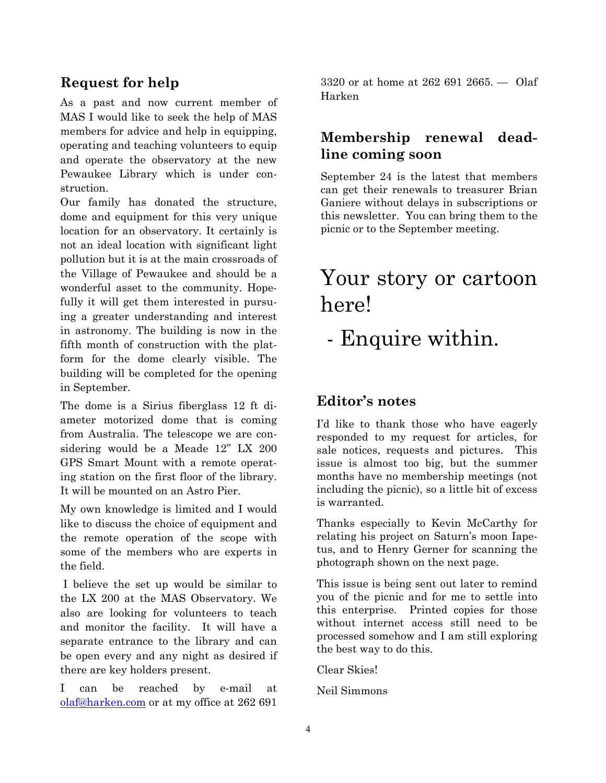### **Request for help**

As a past and now current member of MAS I would like to seek the help of MAS members for advice and help in equipping, operating and teaching volunteers to equip and operate the observatory at the new Pewaukee Library which is under construction.

Our family has donated the structure, dome and equipment for this very unique location for an observatory. It certainly is not an ideal location with significant light pollution but it is at the main crossroads of the Village of Pewaukee and should be a wonderful asset to the community. Hopefully it will get them interested in pursuing a greater understanding and interest in astronomy. The building is now in the fifth month of construction with the platform for the dome clearly visible. The building will be completed for the opening in September.

The dome is a Sirius fiberglass 12 ft diameter motorized dome that is coming from Australia. The telescope we are considering would be a Meade 12" LX 200 GPS Smart Mount with a remote operating station on the first floor of the library. It will be mounted on an Astro Pier.

My own knowledge is limited and I would like to discuss the choice of equipment and the remote operation of the scope with some of the members who are experts in the field.

 I believe the set up would be similar to the LX 200 at the MAS Observatory. We also are looking for volunteers to teach and monitor the facility. It will have a separate entrance to the library and can be open every and any night as desired if there are key holders present.

I can be reached by e-mail at olaf@harken.com or at my office at 262 691

3320 or at home at 262 691 2665. — Olaf Harken

### **Membership renewal deadline coming soon**

September 24 is the latest that members can get their renewals to treasurer Brian Ganiere without delays in subscriptions or this newsletter. You can bring them to the picnic or to the September meeting.

# Your story or cartoon here!

# - Enquire within.

### **Editor's notes**

I'd like to thank those who have eagerly responded to my request for articles, for sale notices, requests and pictures. This issue is almost too big, but the summer months have no membership meetings (not including the picnic), so a little bit of excess is warranted.

Thanks especially to Kevin McCarthy for relating his project on Saturn's moon Iapetus, and to Henry Gerner for scanning the photograph shown on the next page.

This issue is being sent out later to remind you of the picnic and for me to settle into this enterprise. Printed copies for those without internet access still need to be processed somehow and I am still exploring the best way to do this.

Clear Skies!

Neil Simmons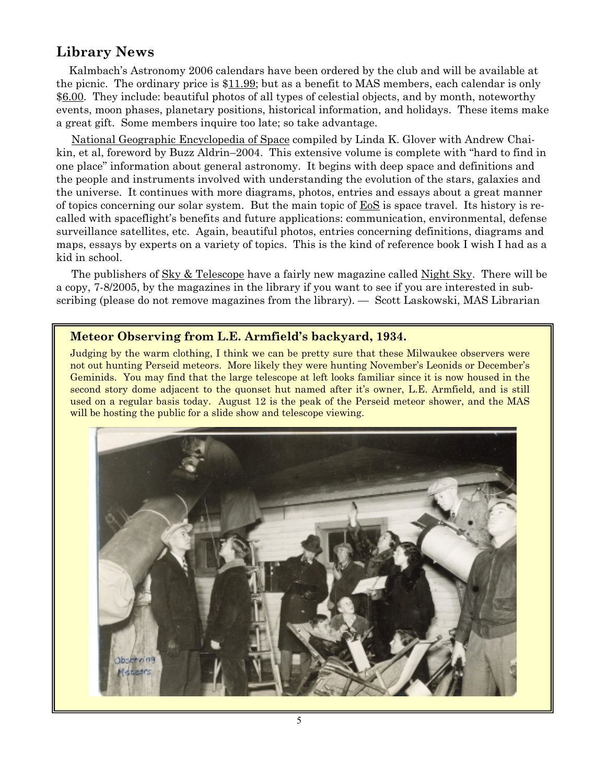### **Library News**

 Kalmbach's Astronomy 2006 calendars have been ordered by the club and will be available at the picnic. The ordinary price is \$11.99; but as a benefit to MAS members, each calendar is only \$6.00. They include: beautiful photos of all types of celestial objects, and by month, noteworthy events, moon phases, planetary positions, historical information, and holidays. These items make a great gift. Some members inquire too late; so take advantage.

 National Geographic Encyclopedia of Space compiled by Linda K. Glover with Andrew Chaikin, et al, foreword by Buzz Aldrin–2004. This extensive volume is complete with "hard to find in one place" information about general astronomy. It begins with deep space and definitions and the people and instruments involved with understanding the evolution of the stars, galaxies and the universe. It continues with more diagrams, photos, entries and essays about a great manner of topics concerning our solar system. But the main topic of EoS is space travel. Its history is recalled with spaceflight's benefits and future applications: communication, environmental, defense surveillance satellites, etc. Again, beautiful photos, entries concerning definitions, diagrams and maps, essays by experts on a variety of topics. This is the kind of reference book I wish I had as a kid in school.

The publishers of Sky & Telescope have a fairly new magazine called Night Sky. There will be a copy, 7-8/2005, by the magazines in the library if you want to see if you are interested in subscribing (please do not remove magazines from the library). — Scott Laskowski, MAS Librarian

#### **Meteor Observing from L.E. Armfield's backyard, 1934.**

Judging by the warm clothing, I think we can be pretty sure that these Milwaukee observers were not out hunting Perseid meteors. More likely they were hunting November's Leonids or December's Geminids. You may find that the large telescope at left looks familiar since it is now housed in the second story dome adjacent to the quonset hut named after it's owner, L.E. Armfield, and is still used on a regular basis today. August 12 is the peak of the Perseid meteor shower, and the MAS will be hosting the public for a slide show and telescope viewing.

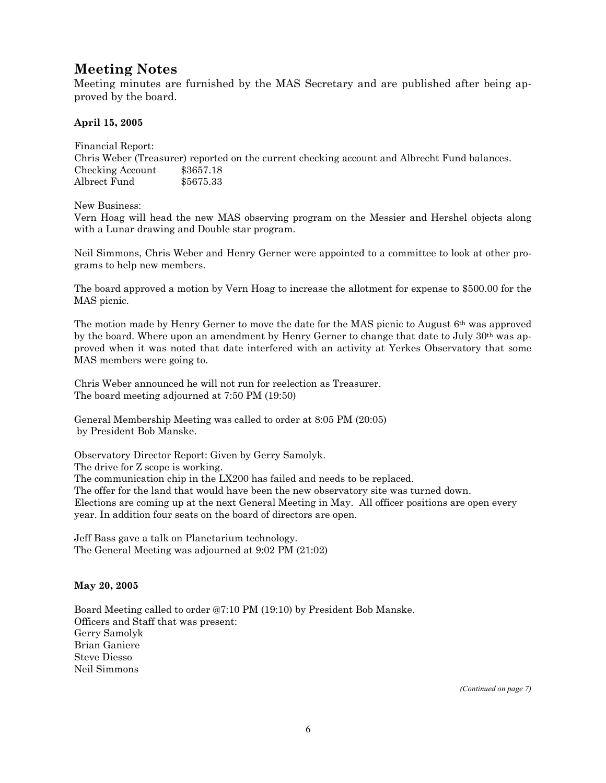### **Meeting Notes**

Meeting minutes are furnished by the MAS Secretary and are published after being approved by the board.

#### **April 15, 2005**

Financial Report: Chris Weber (Treasurer) reported on the current checking account and Albrecht Fund balances. Checking Account \$3657.18 Albrect Fund \$5675.33

New Business:

Vern Hoag will head the new MAS observing program on the Messier and Hershel objects along with a Lunar drawing and Double star program.

Neil Simmons, Chris Weber and Henry Gerner were appointed to a committee to look at other programs to help new members.

The board approved a motion by Vern Hoag to increase the allotment for expense to \$500.00 for the MAS picnic.

The motion made by Henry Gerner to move the date for the MAS picnic to August 6th was approved by the board. Where upon an amendment by Henry Gerner to change that date to July 30th was approved when it was noted that date interfered with an activity at Yerkes Observatory that some MAS members were going to.

Chris Weber announced he will not run for reelection as Treasurer. The board meeting adjourned at 7:50 PM (19:50)

General Membership Meeting was called to order at 8:05 PM (20:05) by President Bob Manske.

Observatory Director Report: Given by Gerry Samolyk. The drive for Z scope is working. The communication chip in the LX200 has failed and needs to be replaced. The offer for the land that would have been the new observatory site was turned down. Elections are coming up at the next General Meeting in May.All officer positions are open every year. In addition four seats on the board of directors are open.

Jeff Bass gave a talk on Planetarium technology. The General Meeting was adjourned at 9:02 PM (21:02)

#### **May 20, 2005**

Board Meeting called to order @7:10 PM (19:10) by President Bob Manske. Officers and Staff that was present: Gerry Samolyk Brian Ganiere Steve Diesso Neil Simmons

*(Continued on page 7)*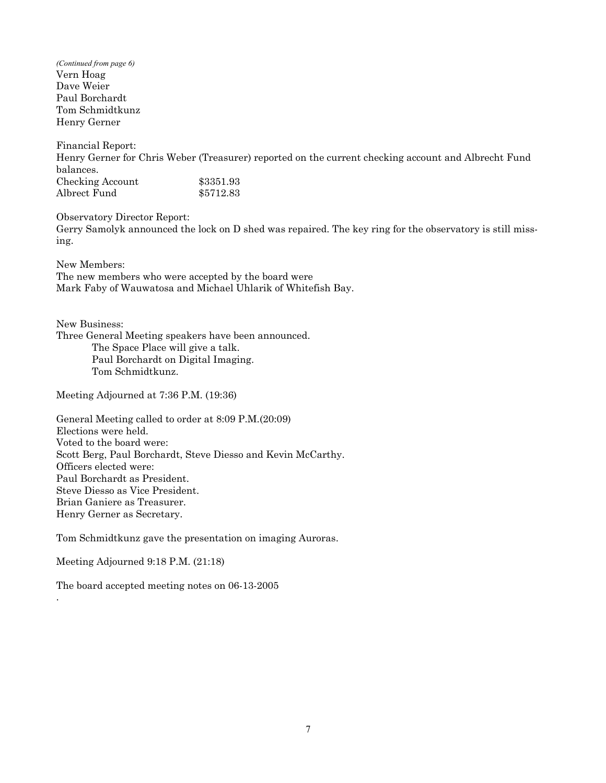Vern Hoag Dave Weier Paul Borchardt Tom Schmidtkunz Henry Gerner *(Continued from page 6)* 

Financial Report: Henry Gerner for Chris Weber (Treasurer) reported on the current checking account and Albrecht Fund balances. Checking Account \$3351.93 Albrect Fund \$5712.83

Observatory Director Report: Gerry Samolyk announced the lock on D shed was repaired. The key ring for the observatory is still missing.

New Members:

The new members who were accepted by the board were Mark Faby of Wauwatosa and Michael Uhlarik of Whitefish Bay.

New Business: Three General Meeting speakers have been announced. The Space Place will give a talk. Paul Borchardt on Digital Imaging. Tom Schmidtkunz.

Meeting Adjourned at 7:36 P.M. (19:36)

General Meeting called to order at 8:09 P.M.(20:09) Elections were held. Voted to the board were: Scott Berg, Paul Borchardt, Steve Diesso and Kevin McCarthy. Officers elected were: Paul Borchardt as President. Steve Diesso as Vice President. Brian Ganiere as Treasurer. Henry Gerner as Secretary.

Tom Schmidtkunz gave the presentation on imaging Auroras.

Meeting Adjourned 9:18 P.M. (21:18)

.

The board accepted meeting notes on 06-13-2005